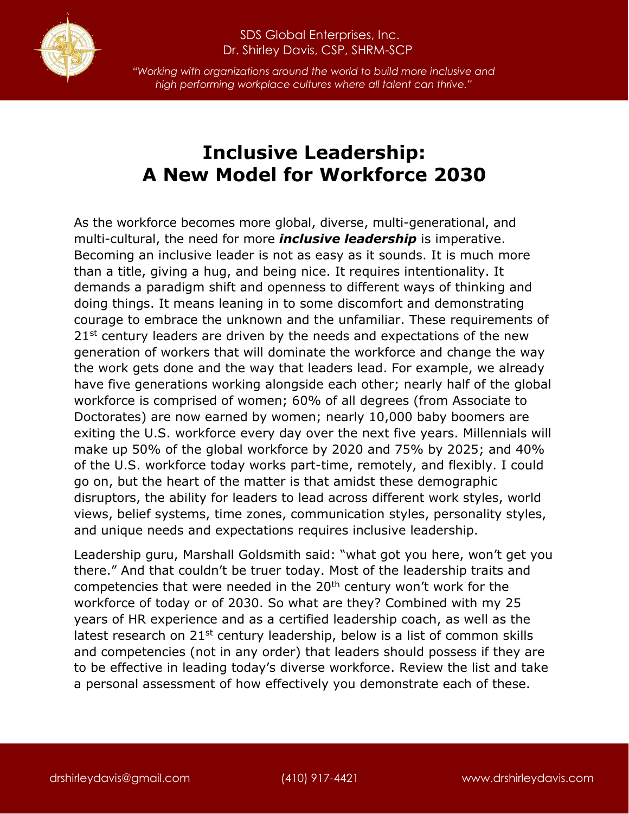

## SDS Global Enterprises, Inc. Dr. Shirley Davis, CSP, SHRM-SCP

*"Working with organizations around the world to build more inclusive and high performing workplace cultures where all talent can thrive."*

## **Inclusive Leadership: A New Model for Workforce 2030**

As the workforce becomes more global, diverse, multi-generational, and multi-cultural, the need for more *inclusive leadership* is imperative. Becoming an inclusive leader is not as easy as it sounds. It is much more than a title, giving a hug, and being nice. It requires intentionality. It demands a paradigm shift and openness to different ways of thinking and doing things. It means leaning in to some discomfort and demonstrating courage to embrace the unknown and the unfamiliar. These requirements of 21<sup>st</sup> century leaders are driven by the needs and expectations of the new generation of workers that will dominate the workforce and change the way the work gets done and the way that leaders lead. For example, we already have five generations working alongside each other; nearly half of the global workforce is comprised of women; 60% of all degrees (from Associate to Doctorates) are now earned by women; nearly 10,000 baby boomers are exiting the U.S. workforce every day over the next five years. Millennials will make up 50% of the global workforce by 2020 and 75% by 2025; and 40% of the U.S. workforce today works part-time, remotely, and flexibly. I could go on, but the heart of the matter is that amidst these demographic disruptors, the ability for leaders to lead across different work styles, world views, belief systems, time zones, communication styles, personality styles, and unique needs and expectations requires inclusive leadership.

Leadership guru, Marshall Goldsmith said: "what got you here, won't get you there." And that couldn't be truer today. Most of the leadership traits and competencies that were needed in the 20<sup>th</sup> century won't work for the workforce of today or of 2030. So what are they? Combined with my 25 years of HR experience and as a certified leadership coach, as well as the latest research on 21<sup>st</sup> century leadership, below is a list of common skills and competencies (not in any order) that leaders should possess if they are to be effective in leading today's diverse workforce. Review the list and take a personal assessment of how effectively you demonstrate each of these.